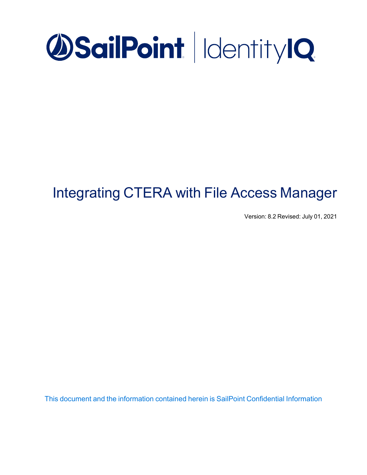

# Integrating CTERA with File Access Manager

Version: 8.2 Revised: July 01, 2021

This document and the information contained herein is SailPoint Confidential Information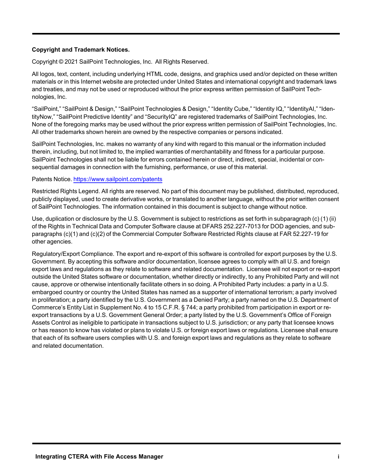#### **Copyright and Trademark Notices.**

Copyright © 2021 SailPoint Technologies, Inc. All Rights Reserved.

All logos, text, content, including underlying HTML code, designs, and graphics used and/or depicted on these written materials or in this Internet website are protected under United States and international copyright and trademark laws and treaties, and may not be used or reproduced without the prior express written permission of SailPoint Technologies, Inc.

"SailPoint," "SailPoint & Design," "SailPoint Technologies & Design," "Identity Cube," "Identity IQ," "IdentityAI," "IdentityNow," "SailPoint Predictive Identity" and "SecurityIQ" are registered trademarks of SailPoint Technologies, Inc. None of the foregoing marks may be used without the prior express written permission of SailPoint Technologies, Inc. All other trademarks shown herein are owned by the respective companies or persons indicated.

SailPoint Technologies, Inc. makes no warranty of any kind with regard to this manual or the information included therein, including, but not limited to, the implied warranties of merchantability and fitness for a particular purpose. SailPoint Technologies shall not be liable for errors contained herein or direct, indirect, special, incidental or consequential damages in connection with the furnishing, performance, or use of this material.

#### Patents Notice. <https://www.sailpoint.com/patents>

Restricted Rights Legend. All rights are reserved. No part of this document may be published, distributed, reproduced, publicly displayed, used to create derivative works, or translated to another language, without the prior written consent of SailPoint Technologies. The information contained in this document is subject to change without notice.

Use, duplication or disclosure by the U.S. Government is subject to restrictions as set forth in subparagraph (c) (1) (ii) of the Rights in Technical Data and Computer Software clause at DFARS 252.227-7013 for DOD agencies, and subparagraphs (c)(1) and (c)(2) of the Commercial Computer Software Restricted Rights clause at FAR 52.227-19 for other agencies.

Regulatory/Export Compliance. The export and re-export of this software is controlled for export purposes by the U.S. Government. By accepting this software and/or documentation, licensee agrees to comply with all U.S. and foreign export laws and regulations as they relate to software and related documentation. Licensee will not export or re-export outside the United States software or documentation, whether directly or indirectly, to any Prohibited Party and will not cause, approve or otherwise intentionally facilitate others in so doing. A Prohibited Party includes: a party in a U.S. embargoed country or country the United States has named as a supporter of international terrorism; a party involved in proliferation; a party identified by the U.S. Government as a Denied Party; a party named on the U.S. Department of Commerce's Entity List in Supplement No. 4 to 15 C.F.R. § 744; a party prohibited from participation in export or reexport transactions by a U.S. Government General Order; a party listed by the U.S. Government's Office of Foreign Assets Control as ineligible to participate in transactions subject to U.S. jurisdiction; or any party that licensee knows or has reason to know has violated or plans to violate U.S. or foreign export laws or regulations. Licensee shall ensure that each of its software users complies with U.S. and foreign export laws and regulations as they relate to software and related documentation.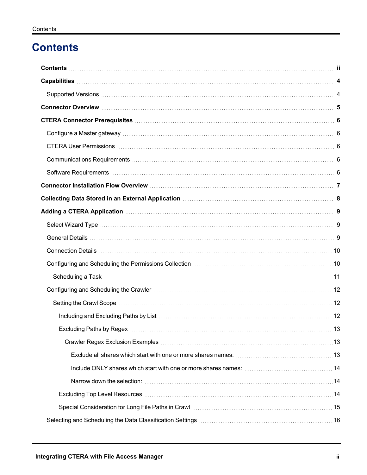## <span id="page-2-0"></span>**Contents**

| Connector Installation Flow Overview Material Account of the Connector Installation Flow Overview Material Account 7                                                                                                           |  |
|--------------------------------------------------------------------------------------------------------------------------------------------------------------------------------------------------------------------------------|--|
|                                                                                                                                                                                                                                |  |
| Adding a CTERA Application manufacture and a series of the series of the series of the series of the series of the series of the series of the series of the series of the series of the series of the series of the series of |  |
|                                                                                                                                                                                                                                |  |
|                                                                                                                                                                                                                                |  |
|                                                                                                                                                                                                                                |  |
| Configuring and Scheduling the Permissions Collection [11] Continuum material continuum material and Scheduling the Permissions Collection [10] Continuum material and Scheduling the Permissions Collection [10] Continuum ma |  |
|                                                                                                                                                                                                                                |  |
|                                                                                                                                                                                                                                |  |
|                                                                                                                                                                                                                                |  |
|                                                                                                                                                                                                                                |  |
|                                                                                                                                                                                                                                |  |
|                                                                                                                                                                                                                                |  |
|                                                                                                                                                                                                                                |  |
|                                                                                                                                                                                                                                |  |
|                                                                                                                                                                                                                                |  |
|                                                                                                                                                                                                                                |  |
|                                                                                                                                                                                                                                |  |
|                                                                                                                                                                                                                                |  |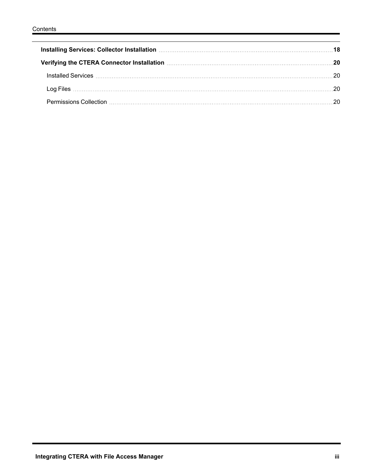| 120 Verifying the CTERA Connector Installation [19] Verifying the CTERA Connector Installation |  |
|------------------------------------------------------------------------------------------------|--|
|                                                                                                |  |
|                                                                                                |  |
|                                                                                                |  |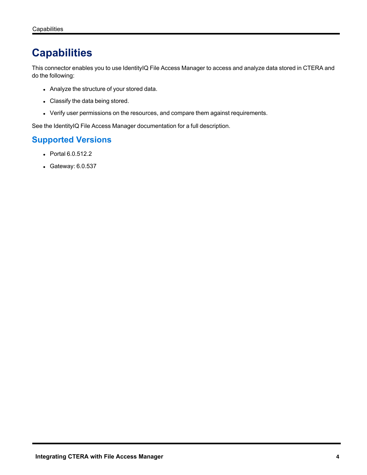## <span id="page-4-0"></span>**Capabilities**

This connector enables you to use IdentityIQ File Access Manager to access and analyze data stored in CTERA and do the following:

- Analyze the structure of your stored data.
- Classify the data being stored.
- Verify user permissions on the resources, and compare them against requirements.

<span id="page-4-1"></span>See the IdentityIQ File Access Manager documentation for a full description.

## **Supported Versions**

- Portal 6.0.512.2
- Gateway: 6.0.537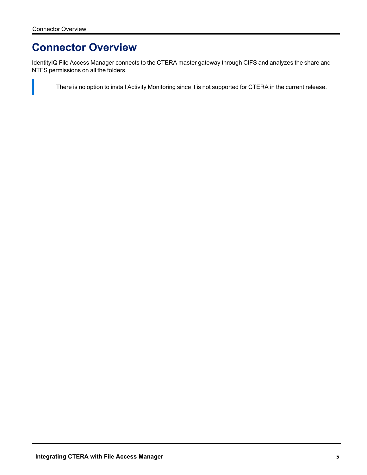## <span id="page-5-0"></span>**Connector Overview**

IdentityIQ File Access Manager connects to the CTERA master gateway through CIFS and analyzes the share and NTFS permissions on all the folders.

There is no option to install Activity Monitoring since it is not supported for CTERA in the current release.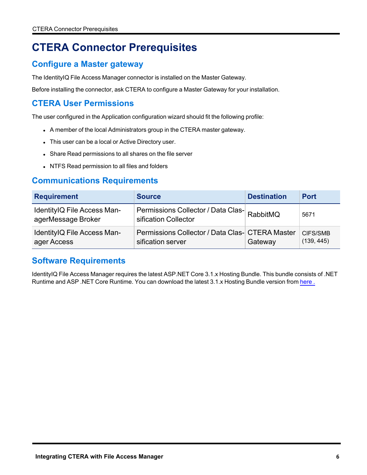## <span id="page-6-1"></span><span id="page-6-0"></span>**CTERA Connector Prerequisites**

## **Configure a Master gateway**

The IdentityIQ File Access Manager connector is installed on the Master Gateway.

<span id="page-6-2"></span>Before installing the connector, ask CTERA to configure a Master Gateway for your installation.

## **CTERA User Permissions**

The user configured in the Application configuration wizard should fit the following profile:

- A member of the local Administrators group in the CTERA master gateway.
- This user can be a local or Active Directory user.
- Share Read permissions to all shares on the file server
- NTFS Read permission to all files and folders

### <span id="page-6-3"></span>**Communications Requirements**

| <b>Requirement</b>                                | <b>Source</b>                                                        | <b>Destination</b> | <b>Port</b>            |
|---------------------------------------------------|----------------------------------------------------------------------|--------------------|------------------------|
| IdentityIQ File Access Man-<br>agerMessage Broker | Permissions Collector / Data Clas- RabbitMQ<br>sification Collector  |                    | 5671                   |
| IdentityIQ File Access Man-<br>ager Access        | Permissions Collector / Data Clas- CTERA Master<br>sification server | Gateway            | CIFS/SMB<br>(139, 445) |

### <span id="page-6-4"></span>**Software Requirements**

IdentityIQ File Access Manager requires the latest ASP.NET Core 3.1.x Hosting Bundle. This bundle consists of .NET Runtime and ASP .NET Core Runtime. You can download the latest 3.1.x Hosting Bundle version from [here](https://dotnet.microsoft.com/download/dotnet/3.1).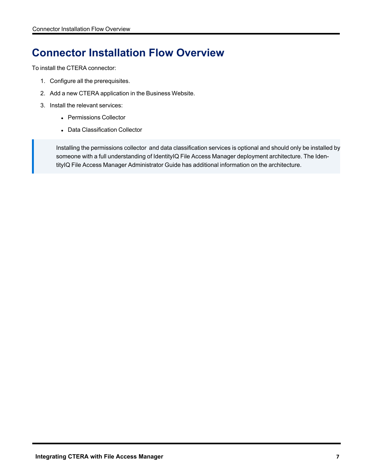## <span id="page-7-0"></span>**Connector Installation Flow Overview**

To install the CTERA connector:

- 1. Configure all the prerequisites.
- 2. Add a new CTERA application in the Business Website.
- 3. Install the relevant services:
	- Permissions Collector
	- Data Classification Collector

Installing the permissions collector and data classification services is optional and should only be installed by someone with a full understanding of IdentityIQ File Access Manager deployment architecture. The IdentityIQ File Access Manager Administrator Guide has additional information on the architecture.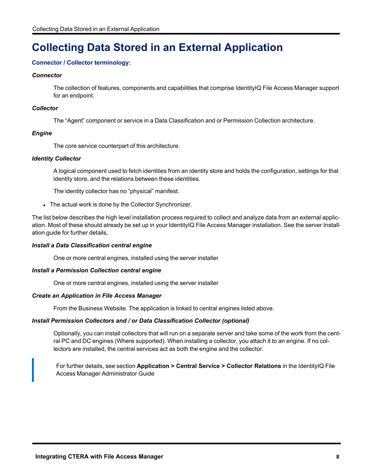## <span id="page-8-0"></span>**Collecting Data Stored in an External Application**

#### **Connector / Collector terminology:**

#### *Connector*

The collection of features, components and capabilities that comprise IdentityIQ File Access Manager support for an endpoint.

#### *Collector*

The "Agent" component or service in a Data Classification and or Permission Collection architecture.

#### *Engine*

The core service counterpart of this architecture.

#### *Identity Collector*

A logical component used to fetch identities from an identity store and holds the configuration, settings for that identity store, and the relations between these identities.

The identity collector has no "physical" manifest.

• The actual work is done by the Collector Synchronizer.

The list below describes the high level installation process required to collect and analyze data from an external application. Most of these should already be set up in your IdentityIQ File Access Manager installation. See the server Installation guide for further details.

#### *Install a Data Classification central engine*

One or more central engines, installed using the server installer

#### *Install a Permission Collection central engine*

One or more central engines, installed using the server installer

#### *Create an Application in File Access Manager*

From the Business Website. The application is linked to central engines listed above.

#### *Install Permission Collectors and / or Data Classification Collector (optional)*

Optionally, you can install collectors that will run on a separate server and take some of the work from the central PC and DC engines (Where supported). When installing a collector, you attach it to an engine. If no collectors are installed, the central services act as both the engine and the collector.

For further details, see section **Application > Central Service > Collector Relations** in the IdentityIQ File Access Manager Administrator Guide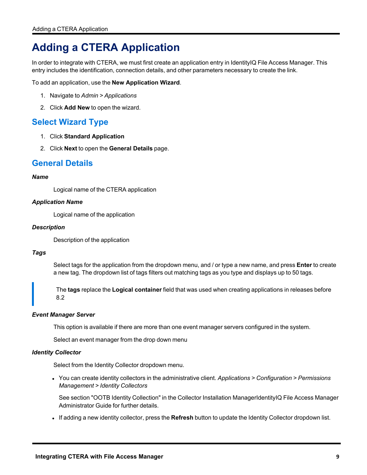## <span id="page-9-0"></span>**Adding a CTERA Application**

In order to integrate with CTERA, we must first create an application entry in IdentityIQ File Access Manager. This entry includes the identification, connection details, and other parameters necessary to create the link.

To add an application, use the **New Application Wizard**.

- 1. Navigate to *Admin > Applications*
- <span id="page-9-1"></span>2. Click **Add New** to open the wizard.

### **Select Wizard Type**

- 1. Click **Standard Application**
- <span id="page-9-2"></span>2. Click **Next** to open the **General Details** page.

### **General Details**

#### *Name*

Logical name of the CTERA application

#### *Application Name*

Logical name of the application

#### *Description*

Description of the application

#### *Tags*

Select tags for the application from the dropdown menu, and / or type a new name, and press **Enter** to create a new tag. The dropdown list of tags filters out matching tags as you type and displays up to 50 tags.

The **tags** replace the **Logical container** field that was used when creating applications in releases before 8.2

#### *Event Manager Server*

This option is available if there are more than one event manager servers configured in the system.

Select an event manager from the drop down menu

#### *Identity Collector*

Select from the Identity Collector dropdown menu.

<sup>l</sup> You can create identity collectors in the administrative client. *Applications > Configuration > Permissions Management > Identity Collectors*

See section "OOTB Identity Collection" in the Collector Installation ManagerIdentityIQ File Access Manager Administrator Guide for further details.

If adding a new identity collector, press the **Refresh** button to update the Identity Collector dropdown list.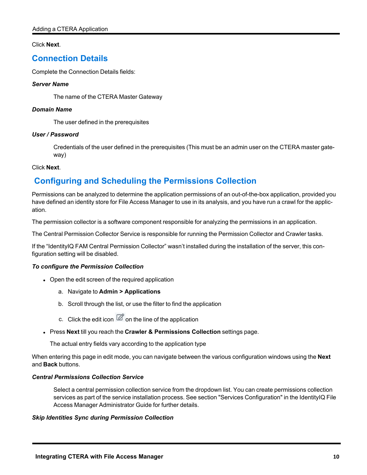#### <span id="page-10-0"></span>Click **Next**.

## **Connection Details**

Complete the Connection Details fields:

#### *Server Name*

The name of the CTERA Master Gateway

#### *Domain Name*

The user defined in the prerequisites

#### *User / Password*

Credentials of the user defined in the prerequisites (This must be an admin user on the CTERA master gateway)

#### <span id="page-10-1"></span>Click **Next**.

## **Configuring and Scheduling the Permissions Collection**

Permissions can be analyzed to determine the application permissions of an out-of-the-box application, provided you have defined an identity store for File Access Manager to use in its analysis, and you have run a crawl for the application.

The permission collector is a software component responsible for analyzing the permissions in an application.

The Central Permission Collector Service is responsible for running the Permission Collector and Crawler tasks.

If the "IdentityIQ FAM Central Permission Collector" wasn't installed during the installation of the server, this configuration setting will be disabled.

#### *To configure the Permission Collection*

- Open the edit screen of the required application
	- a. Navigate to **Admin > Applications**
	- b. Scroll through the list, or use the filter to find the application
	- c. Click the edit icon  $\mathbb Z$  on the line of the application
- <sup>l</sup> Press **Next** till you reach the **Crawler & Permissions Collection** settings page.

The actual entry fields vary according to the application type

When entering this page in edit mode, you can navigate between the various configuration windows using the **Next** and **Back** buttons.

#### *Central Permissions Collection Service*

Select a central permission collection service from the dropdown list. You can create permissions collection services as part of the service installation process. See section "Services Configuration" in the IdentityIQ File Access Manager Administrator Guide for further details.

#### *Skip Identities Sync during Permission Collection*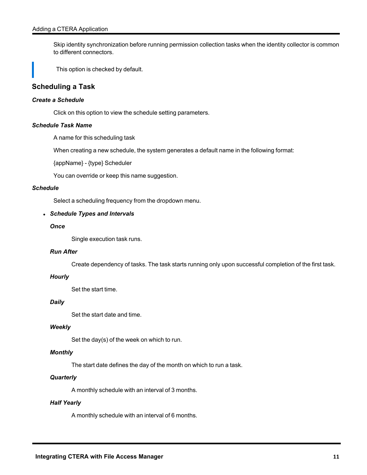Skip identity synchronization before running permission collection tasks when the identity collector is common to different connectors.

This option is checked by default.

### <span id="page-11-0"></span>**Scheduling a Task**

#### *Create a Schedule*

Click on this option to view the schedule setting parameters.

#### *Schedule Task Name*

A name for this scheduling task

When creating a new schedule, the system generates a default name in the following format:

{appName} - {type} Scheduler

You can override or keep this name suggestion.

#### *Schedule*

Select a scheduling frequency from the dropdown menu.

#### <sup>l</sup> *Schedule Types and Intervals*

#### *Once*

Single execution task runs.

#### *Run After*

Create dependency of tasks. The task starts running only upon successful completion of the first task.

#### *Hourly*

Set the start time.

#### *Daily*

Set the start date and time.

#### *Weekly*

Set the day(s) of the week on which to run.

#### *Monthly*

The start date defines the day of the month on which to run a task.

#### *Quarterly*

A monthly schedule with an interval of 3 months.

#### *Half Yearly*

A monthly schedule with an interval of 6 months.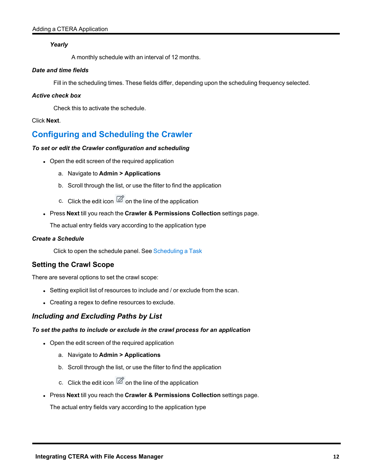#### *Yearly*

A monthly schedule with an interval of 12 months.

#### *Date and time fields*

Fill in the scheduling times. These fields differ, depending upon the scheduling frequency selected.

#### *Active check box*

Check this to activate the schedule.

#### <span id="page-12-0"></span>Click **Next**.

## **Configuring and Scheduling the Crawler**

#### *To set or edit the Crawler configuration and scheduling*

- Open the edit screen of the required application
	- a. Navigate to **Admin > Applications**
	- b. Scroll through the list, or use the filter to find the application
	- c. Click the edit icon  $\mathbb Z$  on the line of the application
- <sup>l</sup> Press **Next** till you reach the **Crawler & Permissions Collection** settings page.

The actual entry fields vary according to the application type

#### *Create a Schedule*

Click to open the schedule panel. See [Scheduling](#page-11-0) a Task

### <span id="page-12-1"></span>**Setting the Crawl Scope**

There are several options to set the crawl scope:

- Setting explicit list of resources to include and / or exclude from the scan.
- Creating a regex to define resources to exclude.

### <span id="page-12-2"></span>*Including and Excluding Paths by List*

#### *To set the paths to include or exclude in the crawl process for an application*

- Open the edit screen of the required application
	- a. Navigate to **Admin > Applications**
	- b. Scroll through the list, or use the filter to find the application
	- c. Click the edit icon  $\overline{\mathscr{Q}}$  on the line of the application
- <sup>l</sup> Press **Next** till you reach the **Crawler & Permissions Collection** settings page.

The actual entry fields vary according to the application type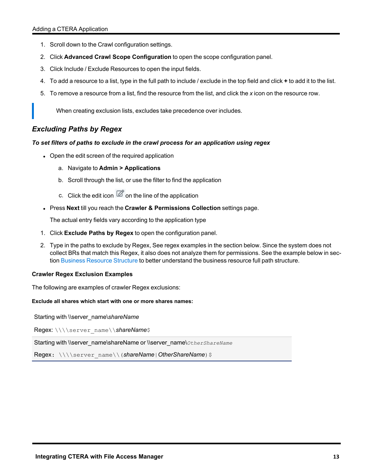- 1. Scroll down to the Crawl configuration settings.
- 2. Click **Advanced Crawl Scope Configuration** to open the scope configuration panel.
- 3. Click Include / Exclude Resources to open the input fields.
- 4. To add a resource to a list, type in the full path to include / exclude in the top field and click **+** to add it to the list.
- 5. To remove a resource from a list, find the resource from the list, and click the *x* icon on the resource row.

When creating exclusion lists, excludes take precedence over includes.

### <span id="page-13-0"></span>*Excluding Paths by Regex*

#### *To set filters of paths to exclude in the crawl process for an application using regex*

- Open the edit screen of the required application
	- a. Navigate to **Admin > Applications**
	- b. Scroll through the list, or use the filter to find the application
	- c. Click the edit icon  $\mathbb Z$  on the line of the application
- <sup>l</sup> Press **Next** till you reach the **Crawler & Permissions Collection** settings page.

The actual entry fields vary according to the application type

- 1. Click **Exclude Paths by Regex** to open the configuration panel.
- 2. Type in the paths to exclude by Regex, See regex examples in the section below. Since the system does not collect BRs that match this Regex, it also does not analyze them for permissions. See the example below in section Business [Resource](../../../../../../Content/Admin_Guide/BusinessResourceStruct.htm) Structure to better understand the business resource full path structure.

#### <span id="page-13-1"></span>**Crawler Regex Exclusion Examples**

The following are examples of crawler Regex exclusions:

#### <span id="page-13-2"></span>**Exclude all shares which start with one or more shares names:**

Starting with \\server\_name\*shareName*

Regex: \\\\server\_name\\*shareName*\$

Starting with \\server\_name\shareName or \\server\_name\*OtherShareName*

Regex: \\\\server\_name\\(*shareName*|OtherShareName)\$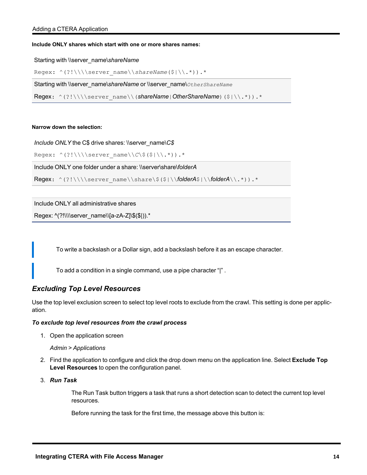#### <span id="page-14-0"></span>**Include ONLY shares which start with one or more shares names:**

Starting with \\server\_name\*shareName*

```
Regex: ^(?!\\\\server_name\\shareName($|\\.*)).*
```
Starting with \\server\_name\*shareName* or \\server\_name\*OtherShareName*

Regex: ^(?!\\\\server\_name\\(*shareName*|*OtherShareName*)(\$|\\.\*)).\*

#### <span id="page-14-1"></span>**Narrow down the selection:**

*Include ONLY* the C\$ drive shares: \\server\_name\*C\$*

```
Regex: ^(?!\\\\server_name\\C\$($|\\.*)).*
```
Include ONLY one folder under a share: \\server\share\*folderA*

```
Regex: ^(?!\\\\server_name\\share\$($|\\folderA$|\\folderA\\.*)).*
```
Include ONLY all administrative shares

```
Regex: ^(?!\\\\server_name\\[a-zA-Z]\$($|)).*
```
To write a backslash or a Dollar sign, add a backslash before it as an escape character.

To add a condition in a single command, use a pipe character "|" .

#### <span id="page-14-2"></span>*Excluding Top Level Resources*

Use the top level exclusion screen to select top level roots to exclude from the crawl. This setting is done per application.

#### *To exclude top level resources from the crawl process*

1. Open the application screen

#### *Admin > Applications*

- 2. Find the application to configure and click the drop down menu on the application line. Select **Exclude Top Level Resources** to open the configuration panel.
- 3. *Run Task*

The Run Task button triggers a task that runs a short detection scan to detect the current top level resources.

Before running the task for the first time, the message above this button is: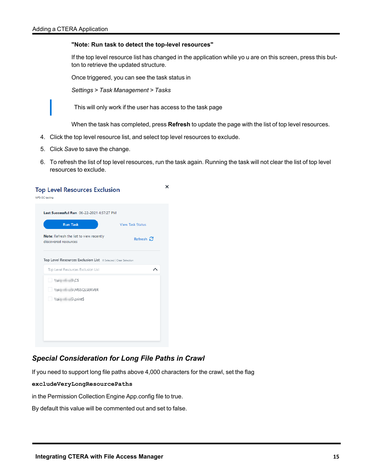#### **"Note: Run task to detect the top-level resources"**

If the top level resource list has changed in the application while yo u are on this screen, press this button to retrieve the updated structure.

Once triggered, you can see the task status in

*Settings > Task Management > Tasks*

This will only work if the user has access to the task page

When the task has completed, press **Refresh** to update the page with the list of top level resources.

- 4. Click the top level resource list, and select top level resources to exclude.
- 5. Click *Save* to save the change.
- 6. To refresh the list of top level resources, run the task again. Running the task will not clear the list of top level resources to exclude.

| Refresh $\Omega$<br>Top Level Resources Exclusion List 0 Selected   Clear Selection<br>Top Level Resources Exclusion List<br>ᄉ | <b>Run Task</b>                                                 | <b>View Task Status</b> |
|--------------------------------------------------------------------------------------------------------------------------------|-----------------------------------------------------------------|-------------------------|
|                                                                                                                                | Note: Refresh the list to view recently<br>discovered resources |                         |
|                                                                                                                                |                                                                 |                         |
|                                                                                                                                |                                                                 |                         |
|                                                                                                                                | $\sqrt{s}$ 5\C\$                                                |                         |
|                                                                                                                                | \\si 5\MSSQLSERVER                                              |                         |
|                                                                                                                                | \\si 5\print\$                                                  |                         |
|                                                                                                                                |                                                                 |                         |

### <span id="page-15-0"></span>*Special Consideration for Long File Paths in Crawl*

If you need to support long file paths above 4,000 characters for the crawl, set the flag

**excludeVeryLongResourcePaths**

in the Permission Collection Engine App.config file to true.

By default this value will be commented out and set to false.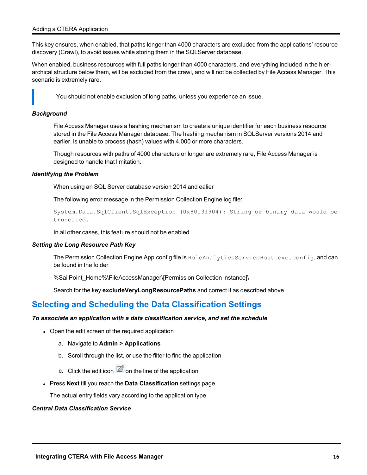This key ensures, when enabled, that paths longer than 4000 characters are excluded from the applications' resource discovery (Crawl), to avoid issues while storing them in the SQLServer database.

When enabled, business resources with full paths longer than 4000 characters, and everything included in the hierarchical structure below them, will be excluded from the crawl, and will not be collected by File Access Manager. This scenario is extremely rare.

You should not enable exclusion of long paths, unless you experience an issue.

#### *Background*

File Access Manager uses a hashing mechanism to create a unique identifier for each business resource stored in the File Access Manager database. The hashing mechanism in SQLServer versions 2014 and earlier, is unable to process (hash) values with 4,000 or more characters.

Though resources with paths of 4000 characters or longer are extremely rare, File Access Manager is designed to handle that limitation.

#### *Identifying the Problem*

When using an SQL Server database version 2014 and ealier

The following error message in the Permission Collection Engine log file:

System.Data.SqlClient.SqlException (0x80131904): String or binary data would be truncated.

In all other cases, this feature should not be enabled.

#### *Setting the Long Resource Path Key*

The Permission Collection Engine App.config file is RoleAnalyticsServiceHost.exe.config, and can be found in the folder

%SailPoint\_Home%\FileAccessManager\[Permission Collection instance]\

Search for the key **excludeVeryLongResourcePaths** and correct it as described above.

## <span id="page-16-0"></span>**Selecting and Scheduling the Data Classification Settings**

#### *To associate an application with a data classification service, and set the schedule*

- Open the edit screen of the required application
	- a. Navigate to **Admin > Applications**
	- b. Scroll through the list, or use the filter to find the application
	- c. Click the edit icon  $\mathbb Z$  on the line of the application
- **.** Press **Next** till you reach the **Data Classification** settings page.

The actual entry fields vary according to the application type

#### *Central Data Classification Service*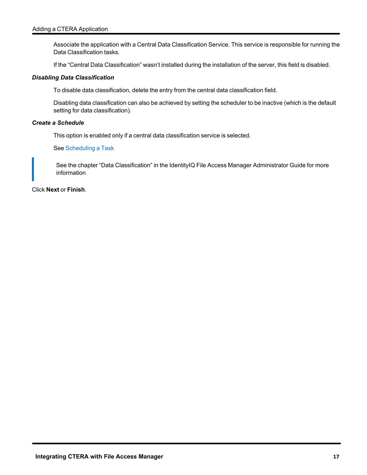Associate the application with a Central Data Classification Service. This service is responsible for running the Data Classification tasks.

If the "Central Data Classification" wasn't installed during the installation of the server, this field is disabled.

#### *Disabling Data Classification*

To disable data classification, delete the entry from the central data classification field.

Disabling data classification can also be achieved by setting the scheduler to be inactive (which is the default setting for data classification).

#### *Create a Schedule*

This option is enabled only if a central data classification service is selected.

See [Scheduling](#page-11-0) a Task

See the chapter "Data Classification" in the IdentityIQ File Access Manager Administrator Guide for more information

Click **Next** or **Finish**.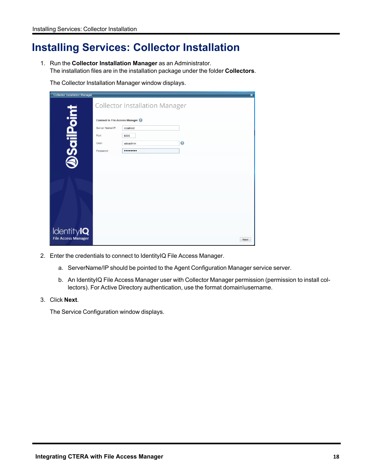## <span id="page-18-0"></span>**Installing Services: Collector Installation**

1. Run the **Collector Installation Manager** as an Administrator. The installation files are in the installation package under the folder **Collectors**.

The Collector Installation Manager window displays.

| <b>Collector Installation Manager</b> |                                |                                       |           | $\boldsymbol{\mathsf{x}}$ |
|---------------------------------------|--------------------------------|---------------------------------------|-----------|---------------------------|
|                                       |                                | <b>Collector Installation Manager</b> |           |                           |
| <b>DSailPoint</b>                     | Connect to File Access Manager |                                       |           |                           |
|                                       | Server Name/IP:<br>localhost   |                                       |           |                           |
| Port                                  | 8000                           |                                       |           |                           |
|                                       | User:<br>wbxadmin              |                                       | $\bullet$ |                           |
|                                       | Password:<br>                  |                                       |           |                           |
|                                       |                                |                                       |           |                           |
|                                       |                                |                                       |           |                           |
|                                       |                                |                                       |           |                           |
|                                       |                                |                                       |           |                           |
|                                       |                                |                                       |           |                           |
|                                       |                                |                                       |           |                           |
|                                       |                                |                                       |           |                           |
| Identity <b>IQ</b>                    |                                |                                       |           |                           |
| <b>File Access Manager</b>            |                                |                                       |           | Next                      |

- 2. Enter the credentials to connect to IdentityIQ File Access Manager.
	- a. ServerName/IP should be pointed to the Agent Configuration Manager service server.
	- b. An IdentityIQ File Access Manager user with Collector Manager permission (permission to install collectors). For Active Directory authentication, use the format domain\username.
- 3. Click **Next**.

The Service Configuration window displays.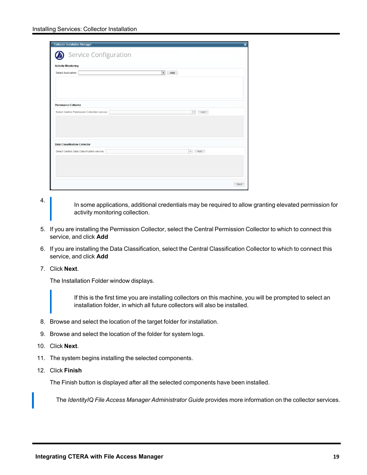| <b>Collector Installation Manager</b>                  | ×                               |
|--------------------------------------------------------|---------------------------------|
| Service Configuration                                  |                                 |
| <b>Activity Monitoring</b>                             |                                 |
| Select Application:<br>Add<br>$\overline{\phantom{a}}$ |                                 |
|                                                        |                                 |
|                                                        |                                 |
|                                                        |                                 |
|                                                        |                                 |
| <b>Permission Collector</b>                            |                                 |
| Select Central Permission Collection service:          | Add<br>$\mathbf{v}$             |
|                                                        |                                 |
|                                                        |                                 |
|                                                        |                                 |
|                                                        |                                 |
| <b>Data Classification Collector</b>                   |                                 |
| Select Central Data Classification service:            | $\overline{\phantom{a}}$<br>Add |
|                                                        |                                 |
|                                                        |                                 |
|                                                        |                                 |
|                                                        |                                 |
|                                                        | Next                            |

4.

In some applications, additional credentials may be required to allow granting elevated permission for activity monitoring collection.

- 5. If you are installing the Permission Collector, select the Central Permission Collector to which to connect this service, and click **Add**
- 6. If you are installing the Data Classification, select the Central Classification Collector to which to connect this service, and click **Add**
- 7. Click **Next**.

The Installation Folder window displays.

If this is the first time you are installing collectors on this machine, you will be prompted to select an installation folder, in which all future collectors will also be installed.

- 8. Browse and select the location of the target folder for installation.
- 9. Browse and select the location of the folder for system logs.
- 10. Click **Next**.
- 11. The system begins installing the selected components.
- 12. Click **Finish**

The Finish button is displayed after all the selected components have been installed.

The *IdentityIQ File Access Manager Administrator Guide* provides more information on the collector services.